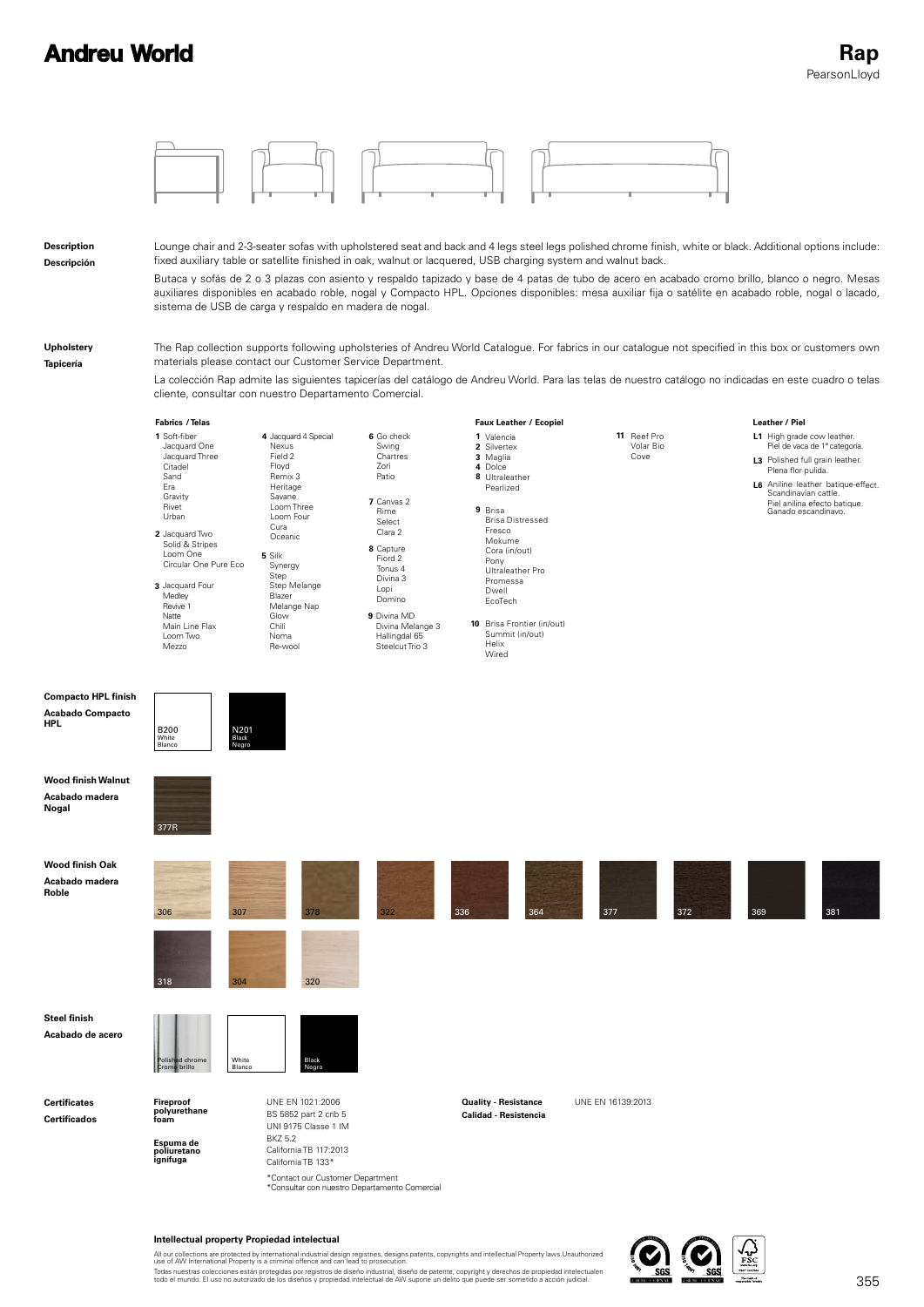

## **Intellectual property Propiedad intelectual**

All our collections are protected by international industrial design registries, designs patents, copyrights and intellectual Property laws.Unauthorized<br>use of AW International Property is a criminal offence and can lead t